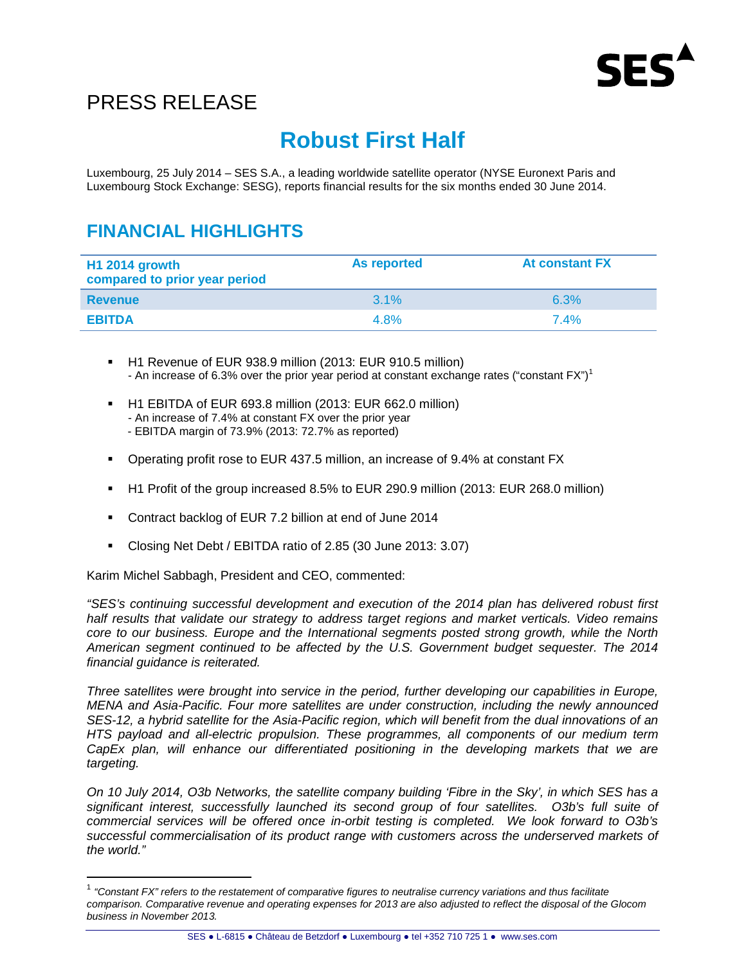

# PRESS RELEASE

# **Robust First Half**

Luxembourg, 25 July 2014 – SES S.A., a leading worldwide satellite operator (NYSE Euronext Paris and Luxembourg Stock Exchange: SESG), reports financial results for the six months ended 30 June 2014.

## **FINANCIAL HIGHLIGHTS**

| <b>H1 2014 growth</b><br>compared to prior year period | As reported | <b>At constant FX</b> |
|--------------------------------------------------------|-------------|-----------------------|
| <b>Revenue</b>                                         | $31\%$      | 6.3%                  |
| <b>EBITDA</b>                                          | 4.8%        | 7.4%                  |

- H1 Revenue of EUR 938.9 million (2013: EUR 910.5 million) - An increase of 6.3% over the prior year period at constant exchange rates ("constant  $FX"$ )<sup>1</sup>
- H1 EBITDA of EUR 693.8 million (2013: EUR 662.0 million) - An increase of 7.4% at constant FX over the prior year - EBITDA margin of 73.9% (2013: 72.7% as reported)
- Operating profit rose to EUR 437.5 million, an increase of 9.4% at constant FX
- H1 Profit of the group increased 8.5% to EUR 290.9 million (2013: EUR 268.0 million)
- Contract backlog of EUR 7.2 billion at end of June 2014
- Closing Net Debt / EBITDA ratio of 2.85 (30 June 2013: 3.07)

Karim Michel Sabbagh, President and CEO, commented:

l

"SES's continuing successful development and execution of the 2014 plan has delivered robust first half results that validate our strategy to address target regions and market verticals. Video remains core to our business. Europe and the International segments posted strong growth, while the North American segment continued to be affected by the U.S. Government budget sequester. The 2014 financial guidance is reiterated.

Three satellites were brought into service in the period, further developing our capabilities in Europe, MENA and Asia-Pacific. Four more satellites are under construction, including the newly announced SES-12, a hybrid satellite for the Asia-Pacific region, which will benefit from the dual innovations of an HTS payload and all-electric propulsion. These programmes, all components of our medium term CapEx plan, will enhance our differentiated positioning in the developing markets that we are targeting.

On 10 July 2014, O3b Networks, the satellite company building 'Fibre in the Sky', in which SES has a significant interest, successfully launched its second group of four satellites. O3b's full suite of commercial services will be offered once in-orbit testing is completed. We look forward to O3b's successful commercialisation of its product range with customers across the underserved markets of the world."

 $1$  "Constant FX" refers to the restatement of comparative figures to neutralise currency variations and thus facilitate comparison. Comparative revenue and operating expenses for 2013 are also adjusted to reflect the disposal of the Glocom business in November 2013.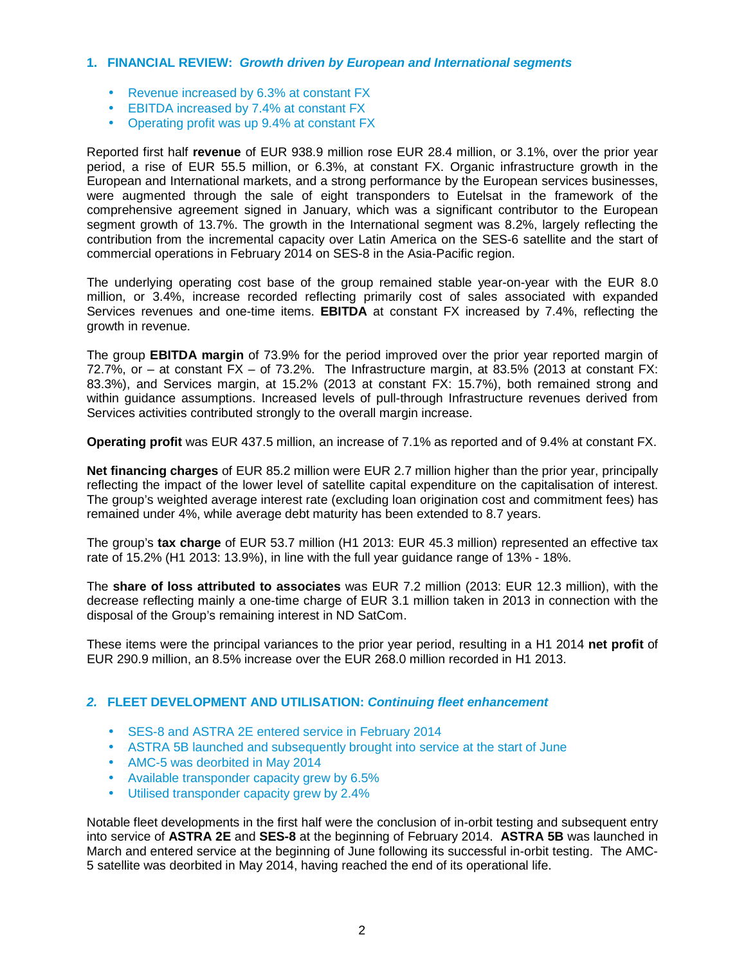### **1. FINANCIAL REVIEW: Growth driven by European and International segments**

- Revenue increased by 6.3% at constant FX
- EBITDA increased by 7.4% at constant FX
- Operating profit was up 9.4% at constant FX

Reported first half **revenue** of EUR 938.9 million rose EUR 28.4 million, or 3.1%, over the prior year period, a rise of EUR 55.5 million, or 6.3%, at constant FX. Organic infrastructure growth in the European and International markets, and a strong performance by the European services businesses, were augmented through the sale of eight transponders to Eutelsat in the framework of the comprehensive agreement signed in January, which was a significant contributor to the European segment growth of 13.7%. The growth in the International segment was 8.2%, largely reflecting the contribution from the incremental capacity over Latin America on the SES-6 satellite and the start of commercial operations in February 2014 on SES-8 in the Asia-Pacific region.

The underlying operating cost base of the group remained stable year-on-year with the EUR 8.0 million, or 3.4%, increase recorded reflecting primarily cost of sales associated with expanded Services revenues and one-time items. **EBITDA** at constant FX increased by 7.4%, reflecting the growth in revenue.

The group **EBITDA margin** of 73.9% for the period improved over the prior year reported margin of 72.7%, or – at constant FX – of 73.2%. The Infrastructure margin, at 83.5% (2013 at constant FX: 83.3%), and Services margin, at 15.2% (2013 at constant FX: 15.7%), both remained strong and within guidance assumptions. Increased levels of pull-through Infrastructure revenues derived from Services activities contributed strongly to the overall margin increase.

**Operating profit** was EUR 437.5 million, an increase of 7.1% as reported and of 9.4% at constant FX.

**Net financing charges** of EUR 85.2 million were EUR 2.7 million higher than the prior year, principally reflecting the impact of the lower level of satellite capital expenditure on the capitalisation of interest. The group's weighted average interest rate (excluding loan origination cost and commitment fees) has remained under 4%, while average debt maturity has been extended to 8.7 years.

The group's **tax charge** of EUR 53.7 million (H1 2013: EUR 45.3 million) represented an effective tax rate of 15.2% (H1 2013: 13.9%), in line with the full year guidance range of 13% - 18%.

The **share of loss attributed to associates** was EUR 7.2 million (2013: EUR 12.3 million), with the decrease reflecting mainly a one-time charge of EUR 3.1 million taken in 2013 in connection with the disposal of the Group's remaining interest in ND SatCom.

These items were the principal variances to the prior year period, resulting in a H1 2014 **net profit** of EUR 290.9 million, an 8.5% increase over the EUR 268.0 million recorded in H1 2013.

### **2. FLEET DEVELOPMENT AND UTILISATION: Continuing fleet enhancement**

- SES-8 and ASTRA 2E entered service in February 2014
- ASTRA 5B launched and subsequently brought into service at the start of June
- AMC-5 was deorbited in May 2014
- Available transponder capacity grew by 6.5%
- Utilised transponder capacity grew by 2.4%

Notable fleet developments in the first half were the conclusion of in-orbit testing and subsequent entry into service of **ASTRA 2E** and **SES-8** at the beginning of February 2014. **ASTRA 5B** was launched in March and entered service at the beginning of June following its successful in-orbit testing. The AMC-5 satellite was deorbited in May 2014, having reached the end of its operational life.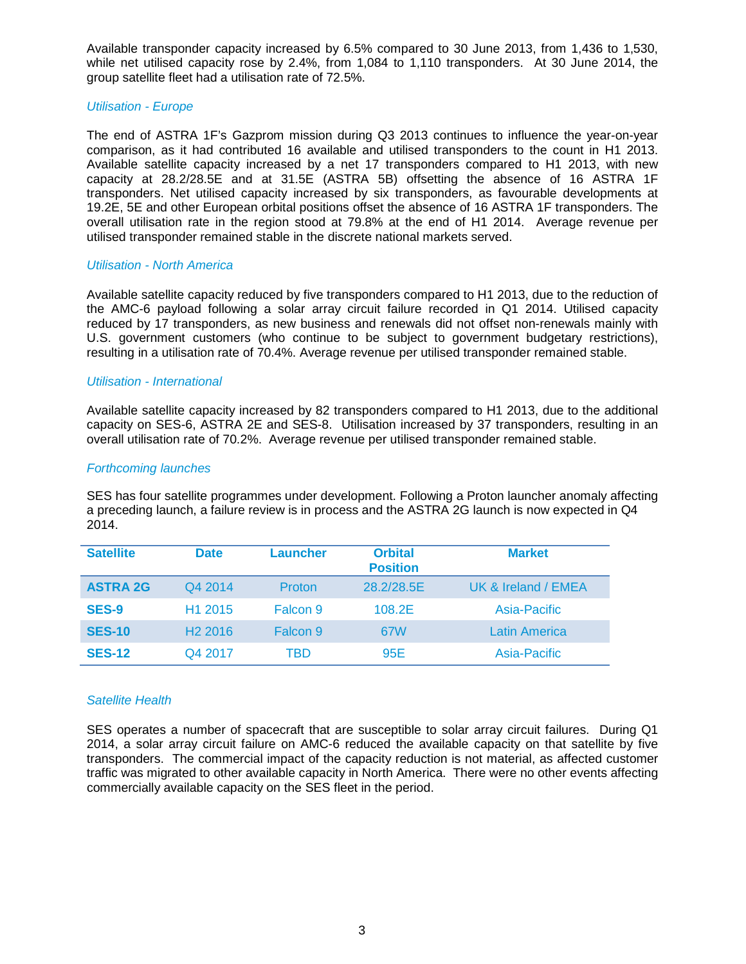Available transponder capacity increased by 6.5% compared to 30 June 2013, from 1,436 to 1,530, while net utilised capacity rose by 2.4%, from 1,084 to 1,110 transponders. At 30 June 2014, the group satellite fleet had a utilisation rate of 72.5%.

### Utilisation - Europe

The end of ASTRA 1F's Gazprom mission during Q3 2013 continues to influence the year-on-year comparison, as it had contributed 16 available and utilised transponders to the count in H1 2013. Available satellite capacity increased by a net 17 transponders compared to H1 2013, with new capacity at 28.2/28.5E and at 31.5E (ASTRA 5B) offsetting the absence of 16 ASTRA 1F transponders. Net utilised capacity increased by six transponders, as favourable developments at 19.2E, 5E and other European orbital positions offset the absence of 16 ASTRA 1F transponders. The overall utilisation rate in the region stood at 79.8% at the end of H1 2014. Average revenue per utilised transponder remained stable in the discrete national markets served.

### Utilisation - North America

Available satellite capacity reduced by five transponders compared to H1 2013, due to the reduction of the AMC-6 payload following a solar array circuit failure recorded in Q1 2014. Utilised capacity reduced by 17 transponders, as new business and renewals did not offset non-renewals mainly with U.S. government customers (who continue to be subject to government budgetary restrictions), resulting in a utilisation rate of 70.4%. Average revenue per utilised transponder remained stable.

### Utilisation - International

Available satellite capacity increased by 82 transponders compared to H1 2013, due to the additional capacity on SES-6, ASTRA 2E and SES-8. Utilisation increased by 37 transponders, resulting in an overall utilisation rate of 70.2%. Average revenue per utilised transponder remained stable.

### Forthcoming launches

SES has four satellite programmes under development. Following a Proton launcher anomaly affecting a preceding launch, a failure review is in process and the ASTRA 2G launch is now expected in Q4 2014.

| <b>Satellite</b> | <b>Date</b>         | <b>Launcher</b> | <b>Orbital</b><br><b>Position</b> | <b>Market</b>       |
|------------------|---------------------|-----------------|-----------------------------------|---------------------|
| <b>ASTRA 2G</b>  | Q4 2014             | Proton          | 28.2/28.5E                        | UK & Ireland / EMEA |
| <b>SES-9</b>     | H <sub>1</sub> 2015 | Falcon 9        | 108.2E                            | Asia-Pacific        |
| <b>SES-10</b>    | H <sub>2</sub> 2016 | Falcon 9        | 67W                               | Latin America       |
| <b>SES-12</b>    | Q4 2017             | TBD             | 95E                               | Asia-Pacific        |

### Satellite Health

SES operates a number of spacecraft that are susceptible to solar array circuit failures. During Q1 2014, a solar array circuit failure on AMC-6 reduced the available capacity on that satellite by five transponders. The commercial impact of the capacity reduction is not material, as affected customer traffic was migrated to other available capacity in North America. There were no other events affecting commercially available capacity on the SES fleet in the period.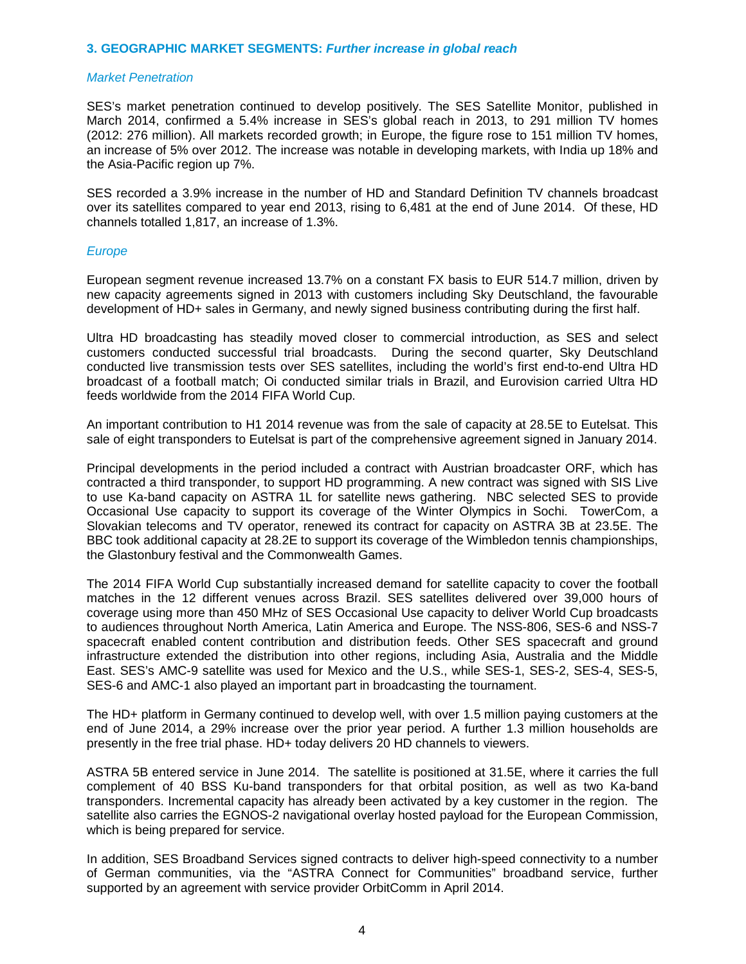### **3. GEOGRAPHIC MARKET SEGMENTS: Further increase in global reach**

#### Market Penetration

SES's market penetration continued to develop positively. The SES Satellite Monitor, published in March 2014, confirmed a 5.4% increase in SES's global reach in 2013, to 291 million TV homes (2012: 276 million). All markets recorded growth; in Europe, the figure rose to 151 million TV homes, an increase of 5% over 2012. The increase was notable in developing markets, with India up 18% and the Asia-Pacific region up 7%.

SES recorded a 3.9% increase in the number of HD and Standard Definition TV channels broadcast over its satellites compared to year end 2013, rising to 6,481 at the end of June 2014. Of these, HD channels totalled 1,817, an increase of 1.3%.

#### Europe

European segment revenue increased 13.7% on a constant FX basis to EUR 514.7 million, driven by new capacity agreements signed in 2013 with customers including Sky Deutschland, the favourable development of HD+ sales in Germany, and newly signed business contributing during the first half.

Ultra HD broadcasting has steadily moved closer to commercial introduction, as SES and select customers conducted successful trial broadcasts. During the second quarter, Sky Deutschland conducted live transmission tests over SES satellites, including the world's first end-to-end Ultra HD broadcast of a football match; Oi conducted similar trials in Brazil, and Eurovision carried Ultra HD feeds worldwide from the 2014 FIFA World Cup.

An important contribution to H1 2014 revenue was from the sale of capacity at 28.5E to Eutelsat. This sale of eight transponders to Eutelsat is part of the comprehensive agreement signed in January 2014.

Principal developments in the period included a contract with Austrian broadcaster ORF, which has contracted a third transponder, to support HD programming. A new contract was signed with SIS Live to use Ka-band capacity on ASTRA 1L for satellite news gathering. NBC selected SES to provide Occasional Use capacity to support its coverage of the Winter Olympics in Sochi. TowerCom, a Slovakian telecoms and TV operator, renewed its contract for capacity on ASTRA 3B at 23.5E. The BBC took additional capacity at 28.2E to support its coverage of the Wimbledon tennis championships, the Glastonbury festival and the Commonwealth Games.

The 2014 FIFA World Cup substantially increased demand for satellite capacity to cover the football matches in the 12 different venues across Brazil. SES satellites delivered over 39,000 hours of coverage using more than 450 MHz of SES Occasional Use capacity to deliver World Cup broadcasts to audiences throughout North America, Latin America and Europe. The NSS-806, SES-6 and NSS-7 spacecraft enabled content contribution and distribution feeds. Other SES spacecraft and ground infrastructure extended the distribution into other regions, including Asia, Australia and the Middle East. SES's AMC-9 satellite was used for Mexico and the U.S., while SES-1, SES-2, SES-4, SES-5, SES-6 and AMC-1 also played an important part in broadcasting the tournament.

The HD+ platform in Germany continued to develop well, with over 1.5 million paying customers at the end of June 2014, a 29% increase over the prior year period. A further 1.3 million households are presently in the free trial phase. HD+ today delivers 20 HD channels to viewers.

ASTRA 5B entered service in June 2014. The satellite is positioned at 31.5E, where it carries the full complement of 40 BSS Ku-band transponders for that orbital position, as well as two Ka-band transponders. Incremental capacity has already been activated by a key customer in the region. The satellite also carries the EGNOS-2 navigational overlay hosted payload for the European Commission, which is being prepared for service.

In addition, SES Broadband Services signed contracts to deliver high-speed connectivity to a number of German communities, via the "ASTRA Connect for Communities" broadband service, further supported by an agreement with service provider OrbitComm in April 2014.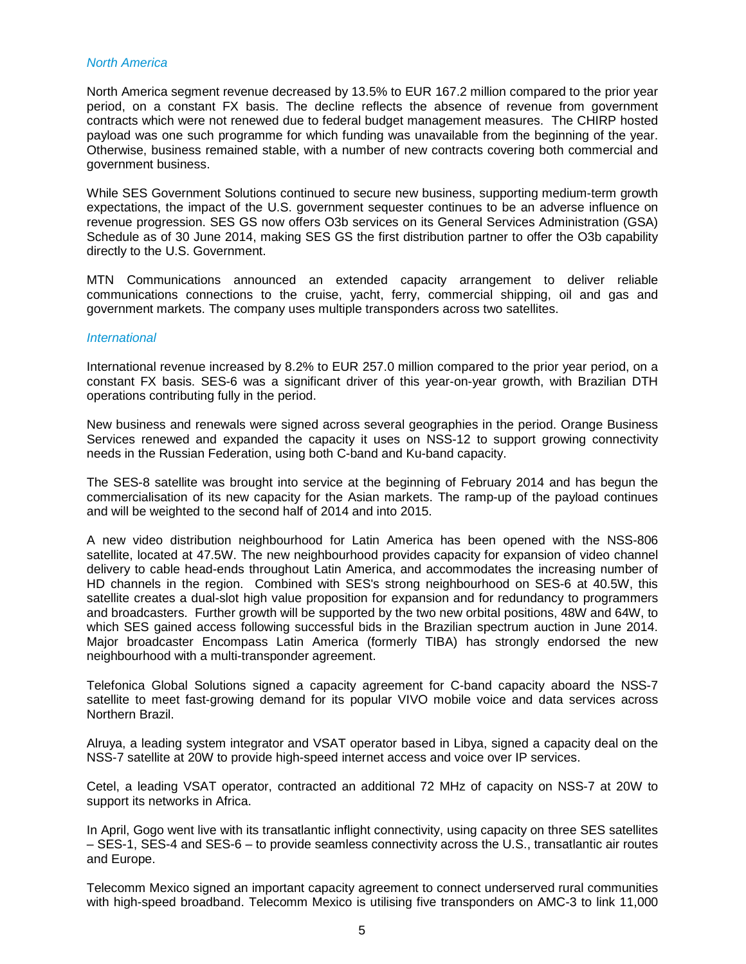### North America

North America segment revenue decreased by 13.5% to EUR 167.2 million compared to the prior year period, on a constant FX basis. The decline reflects the absence of revenue from government contracts which were not renewed due to federal budget management measures. The CHIRP hosted payload was one such programme for which funding was unavailable from the beginning of the year. Otherwise, business remained stable, with a number of new contracts covering both commercial and government business.

While SES Government Solutions continued to secure new business, supporting medium-term growth expectations, the impact of the U.S. government sequester continues to be an adverse influence on revenue progression. SES GS now offers O3b services on its General Services Administration (GSA) Schedule as of 30 June 2014, making SES GS the first distribution partner to offer the O3b capability directly to the U.S. Government.

MTN Communications announced an extended capacity arrangement to deliver reliable communications connections to the cruise, yacht, ferry, commercial shipping, oil and gas and government markets. The company uses multiple transponders across two satellites.

#### **International**

International revenue increased by 8.2% to EUR 257.0 million compared to the prior year period, on a constant FX basis. SES-6 was a significant driver of this year-on-year growth, with Brazilian DTH operations contributing fully in the period.

New business and renewals were signed across several geographies in the period. Orange Business Services renewed and expanded the capacity it uses on NSS-12 to support growing connectivity needs in the Russian Federation, using both C-band and Ku-band capacity.

The SES-8 satellite was brought into service at the beginning of February 2014 and has begun the commercialisation of its new capacity for the Asian markets. The ramp-up of the payload continues and will be weighted to the second half of 2014 and into 2015.

A new video distribution neighbourhood for Latin America has been opened with the NSS-806 satellite, located at 47.5W. The new neighbourhood provides capacity for expansion of video channel delivery to cable head-ends throughout Latin America, and accommodates the increasing number of HD channels in the region. Combined with SES's strong neighbourhood on SES-6 at 40.5W, this satellite creates a dual-slot high value proposition for expansion and for redundancy to programmers and broadcasters. Further growth will be supported by the two new orbital positions, 48W and 64W, to which SES gained access following successful bids in the Brazilian spectrum auction in June 2014. Major broadcaster Encompass Latin America (formerly TIBA) has strongly endorsed the new neighbourhood with a multi-transponder agreement.

Telefonica Global Solutions signed a capacity agreement for C-band capacity aboard the NSS-7 satellite to meet fast-growing demand for its popular VIVO mobile voice and data services across Northern Brazil.

Alruya, a leading system integrator and VSAT operator based in Libya, signed a capacity deal on the NSS-7 satellite at 20W to provide high-speed internet access and voice over IP services.

Cetel, a leading VSAT operator, contracted an additional 72 MHz of capacity on NSS-7 at 20W to support its networks in Africa.

In April, Gogo went live with its transatlantic inflight connectivity, using capacity on three SES satellites – SES-1, SES-4 and SES-6 – to provide seamless connectivity across the U.S., transatlantic air routes and Europe.

Telecomm Mexico signed an important capacity agreement to connect underserved rural communities with high-speed broadband. Telecomm Mexico is utilising five transponders on AMC-3 to link 11,000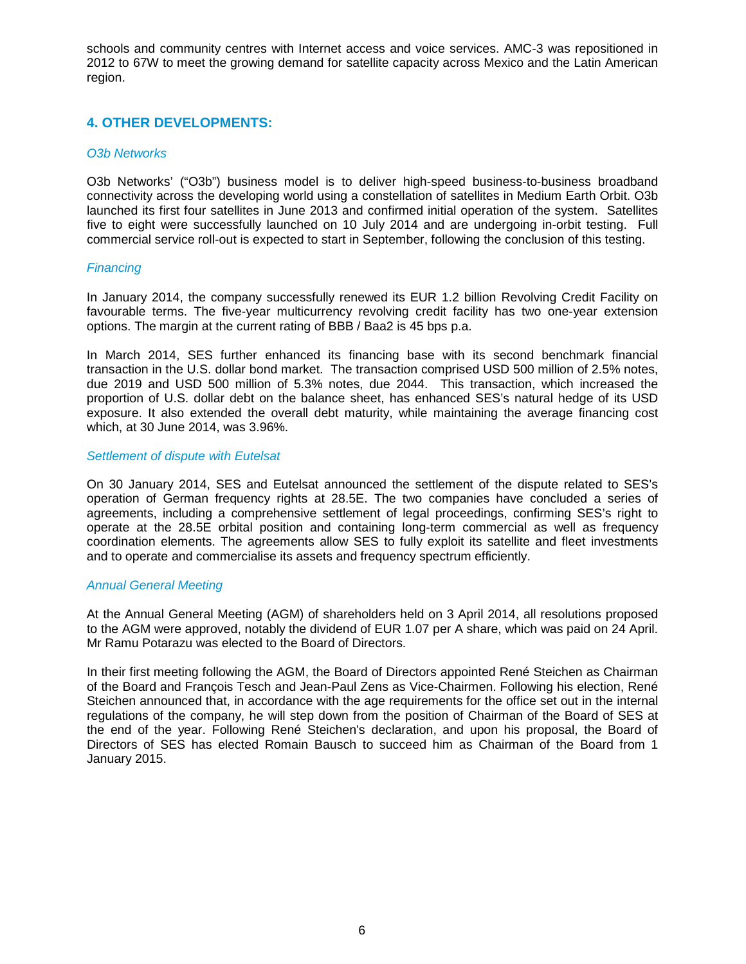schools and community centres with Internet access and voice services. AMC-3 was repositioned in 2012 to 67W to meet the growing demand for satellite capacity across Mexico and the Latin American region.

### **4. OTHER DEVELOPMENTS:**

### O3b Networks

O3b Networks' ("O3b") business model is to deliver high-speed business-to-business broadband connectivity across the developing world using a constellation of satellites in Medium Earth Orbit. O3b launched its first four satellites in June 2013 and confirmed initial operation of the system. Satellites five to eight were successfully launched on 10 July 2014 and are undergoing in-orbit testing. Full commercial service roll-out is expected to start in September, following the conclusion of this testing.

### **Financing**

In January 2014, the company successfully renewed its EUR 1.2 billion Revolving Credit Facility on favourable terms. The five-year multicurrency revolving credit facility has two one-year extension options. The margin at the current rating of BBB / Baa2 is 45 bps p.a.

In March 2014, SES further enhanced its financing base with its second benchmark financial transaction in the U.S. dollar bond market. The transaction comprised USD 500 million of 2.5% notes, due 2019 and USD 500 million of 5.3% notes, due 2044. This transaction, which increased the proportion of U.S. dollar debt on the balance sheet, has enhanced SES's natural hedge of its USD exposure. It also extended the overall debt maturity, while maintaining the average financing cost which, at 30 June 2014, was 3.96%.

### Settlement of dispute with Eutelsat

On 30 January 2014, SES and Eutelsat announced the settlement of the dispute related to SES's operation of German frequency rights at 28.5E. The two companies have concluded a series of agreements, including a comprehensive settlement of legal proceedings, confirming SES's right to operate at the 28.5E orbital position and containing long-term commercial as well as frequency coordination elements. The agreements allow SES to fully exploit its satellite and fleet investments and to operate and commercialise its assets and frequency spectrum efficiently.

### Annual General Meeting

At the Annual General Meeting (AGM) of shareholders held on 3 April 2014, all resolutions proposed to the AGM were approved, notably the dividend of EUR 1.07 per A share, which was paid on 24 April. Mr Ramu Potarazu was elected to the Board of Directors.

In their first meeting following the AGM, the Board of Directors appointed René Steichen as Chairman of the Board and François Tesch and Jean-Paul Zens as Vice-Chairmen. Following his election, René Steichen announced that, in accordance with the age requirements for the office set out in the internal regulations of the company, he will step down from the position of Chairman of the Board of SES at the end of the year. Following René Steichen's declaration, and upon his proposal, the Board of Directors of SES has elected Romain Bausch to succeed him as Chairman of the Board from 1 January 2015.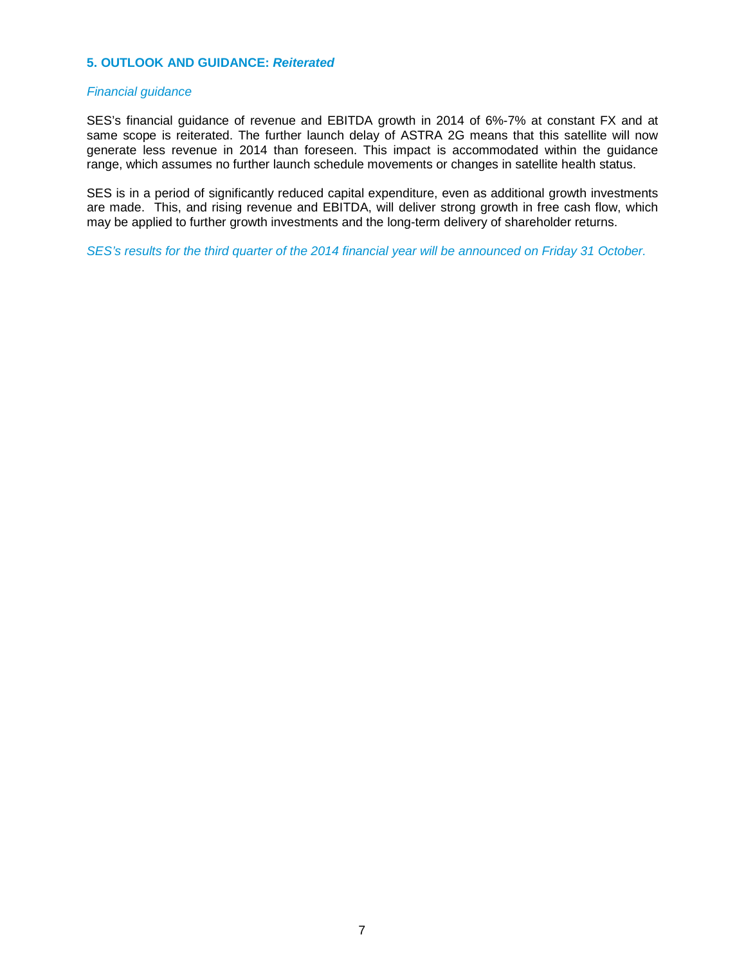### **5. OUTLOOK AND GUIDANCE: Reiterated**

### Financial guidance

SES's financial guidance of revenue and EBITDA growth in 2014 of 6%-7% at constant FX and at same scope is reiterated. The further launch delay of ASTRA 2G means that this satellite will now generate less revenue in 2014 than foreseen. This impact is accommodated within the guidance range, which assumes no further launch schedule movements or changes in satellite health status.

SES is in a period of significantly reduced capital expenditure, even as additional growth investments are made. This, and rising revenue and EBITDA, will deliver strong growth in free cash flow, which may be applied to further growth investments and the long-term delivery of shareholder returns.

SES's results for the third quarter of the 2014 financial year will be announced on Friday 31 October.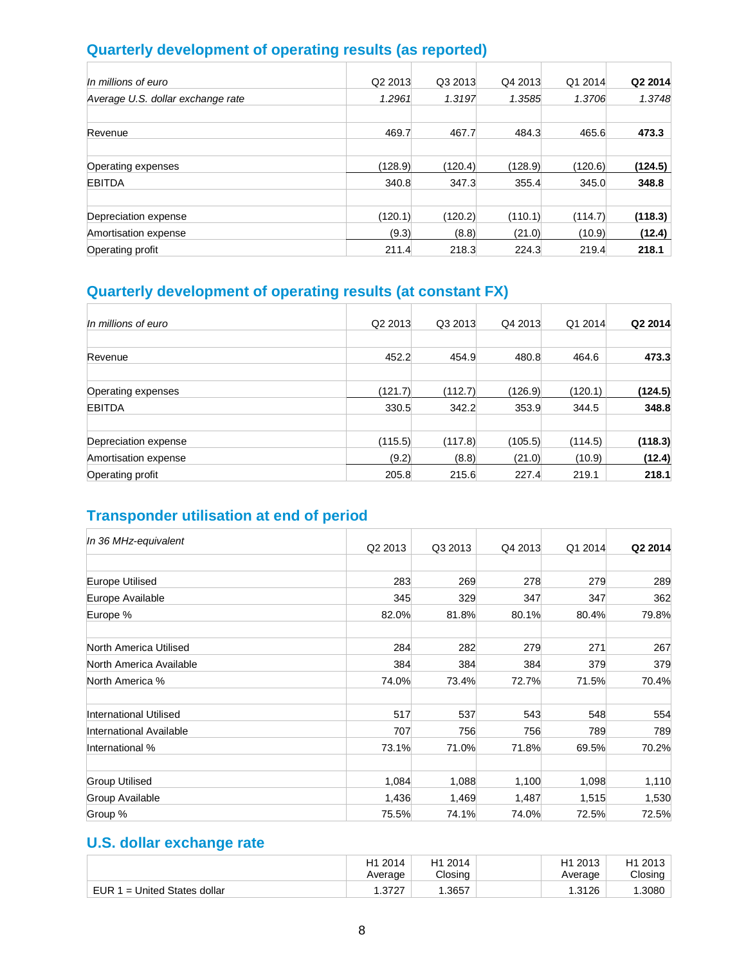## **Quarterly development of operating results (as reported)**

| In millions of euro               | Q2 2013 | Q3 2013 | Q4 2013 | Q1 2014 | Q2 2014 |
|-----------------------------------|---------|---------|---------|---------|---------|
| Average U.S. dollar exchange rate | 1.2961  | 1.3197  | 1.3585  | 1.3706  | 1.3748  |
| Revenue                           | 469.7   | 467.7   | 484.3   | 465.6   | 473.3   |
| Operating expenses                | (128.9) | (120.4) | (128.9) | (120.6) | (124.5) |
| <b>EBITDA</b>                     | 340.8   | 347.3   | 355.4   | 345.0   | 348.8   |
| Depreciation expense              | (120.1) | (120.2) | (110.1) | (114.7) | (118.3) |
| Amortisation expense              | (9.3)   | (8.8)   | (21.0)  | (10.9)  | (12.4)  |
| Operating profit                  | 211.4   | 218.3   | 224.3   | 219.4   | 218.1   |

## **Quarterly development of operating results (at constant FX)**

| In millions of euro  | Q2 2013 | Q3 2013 | Q4 2013 | Q1 2014 | Q2 2014 |
|----------------------|---------|---------|---------|---------|---------|
|                      |         |         |         |         |         |
| Revenue              | 452.2   | 454.9   | 480.8   | 464.6   | 473.3   |
| Operating expenses   | (121.7) | (112.7) | (126.9) | (120.1) | (124.5) |
| <b>EBITDA</b>        | 330.5   | 342.2   | 353.9   | 344.5   | 348.8   |
| Depreciation expense | (115.5) | (117.8) | (105.5) | (114.5) | (118.3) |
| Amortisation expense | (9.2)   | (8.8)   | (21.0)  | (10.9)  | (12.4)  |
| Operating profit     | 205.8   | 215.6   | 227.4   | 219.1   | 218.1   |

## **Transponder utilisation at end of period**

| In 36 MHz-equivalent    |                     |         |         |         |         |
|-------------------------|---------------------|---------|---------|---------|---------|
|                         | Q <sub>2</sub> 2013 | Q3 2013 | Q4 2013 | Q1 2014 | Q2 2014 |
|                         |                     |         |         |         |         |
| <b>Europe Utilised</b>  | 283                 | 269     | 278     | 279     | 289     |
| Europe Available        | 345                 | 329     | 347     | 347     | 362     |
| Europe %                | 82.0%               | 81.8%   | 80.1%   | 80.4%   | 79.8%   |
| North America Utilised  | 284                 | 282     | 279     | 271     | 267     |
| North America Available | 384                 | 384     | 384     | 379     | 379     |
| North America %         | 74.0%               | 73.4%   | 72.7%   | 71.5%   | 70.4%   |
| International Utilised  | 517                 | 537     | 543     | 548     | 554     |
| International Available | 707                 | 756     | 756     | 789     | 789     |
| International %         | 73.1%               | 71.0%   | 71.8%   | 69.5%   | 70.2%   |
| <b>Group Utilised</b>   | 1,084               | 1,088   | 1,100   | 1,098   | 1,110   |
| Group Available         | 1,436               | 1,469   | 1,487   | 1,515   | 1,530   |
| Group %                 | 75.5%               | 74.1%   | 74.0%   | 72.5%   | 72.5%   |

## **U.S. dollar exchange rate**

|                                | 2014<br>Η1<br>Average | H1 2014<br>Closing | 2013<br>$H^4$<br>Average | Η1<br>2013<br>Closing |
|--------------------------------|-----------------------|--------------------|--------------------------|-----------------------|
| EUR $1$ = United States dollar | 2727                  | .3657              | .3126                    | .3080                 |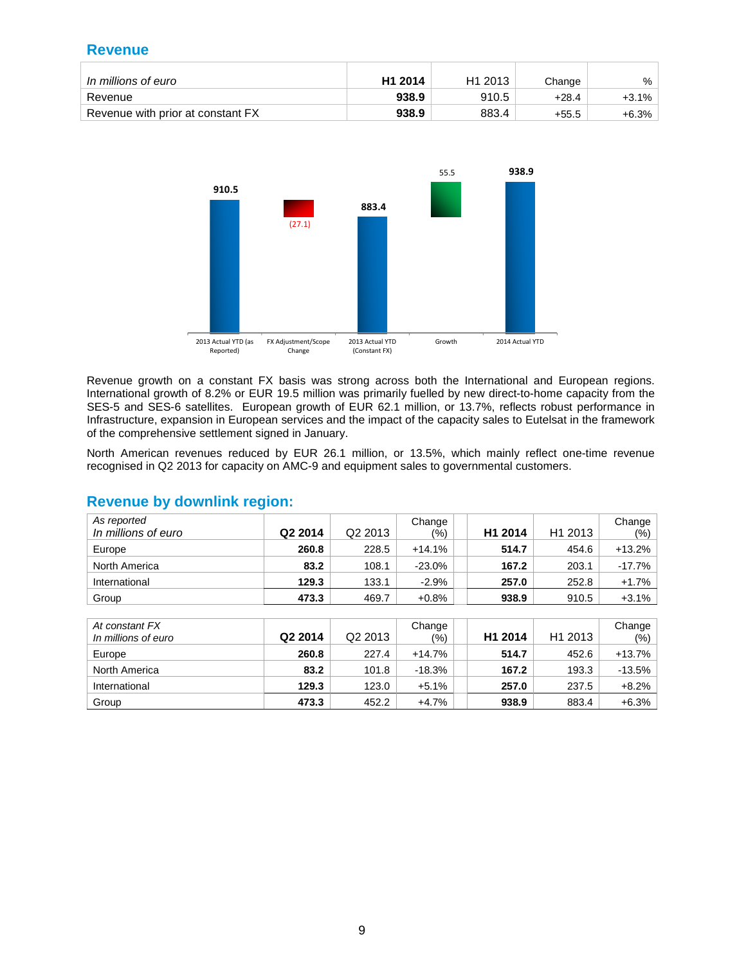### **Revenue**

| In millions of euro               | H <sub>1</sub> 2014 | H <sub>1</sub> 2013 | Change  | $\frac{0}{0}$ |
|-----------------------------------|---------------------|---------------------|---------|---------------|
| Revenue                           | 938.9               | 910.5               | $+28.4$ | $+3.1\%$      |
| Revenue with prior at constant FX | 938.9               | 883.4               | $+55.5$ | $+6.3%$       |



Revenue growth on a constant FX basis was strong across both the International and European regions. International growth of 8.2% or EUR 19.5 million was primarily fuelled by new direct-to-home capacity from the SES-5 and SES-6 satellites. European growth of EUR 62.1 million, or 13.7%, reflects robust performance in Infrastructure, expansion in European services and the impact of the capacity sales to Eutelsat in the framework of the comprehensive settlement signed in January.

North American revenues reduced by EUR 26.1 million, or 13.5%, which mainly reflect one-time revenue recognised in Q2 2013 for capacity on AMC-9 and equipment sales to governmental customers.

| As reported<br>In millions of euro    | Q2 2014 | Q <sub>2</sub> 2013 | Change<br>(%) | H1 2014 | H1 2013 | Change<br>(%) |
|---------------------------------------|---------|---------------------|---------------|---------|---------|---------------|
| Europe                                | 260.8   | 228.5               | $+14.1%$      | 514.7   | 454.6   | $+13.2%$      |
| North America                         | 83.2    | 108.1               | $-23.0%$      | 167.2   | 203.1   | $-17.7%$      |
| International                         | 129.3   | 133.1               | $-2.9%$       | 257.0   | 252.8   | $+1.7%$       |
| Group                                 | 473.3   | 469.7               | $+0.8%$       | 938.9   | 910.5   | $+3.1%$       |
|                                       |         |                     |               |         |         |               |
| At constant FX<br>In millions of euro | Q2 2014 | Q <sub>2</sub> 2013 | Change<br>(%) | H1 2014 | H1 2013 | Change<br>(%) |
| Europe                                | 260.8   | 227.4               | $+14.7%$      | 514.7   | 452.6   | $+13.7%$      |
| North America                         | 83.2    | 101.8               | $-18.3%$      | 167.2   | 193.3   | $-13.5%$      |
| International                         | 129.3   | 123.0               | $+5.1%$       | 257.0   | 237.5   | $+8.2%$       |
| Group                                 | 473.3   | 452.2               | $+4.7%$       | 938.9   | 883.4   | $+6.3%$       |

### **Revenue by downlink region:**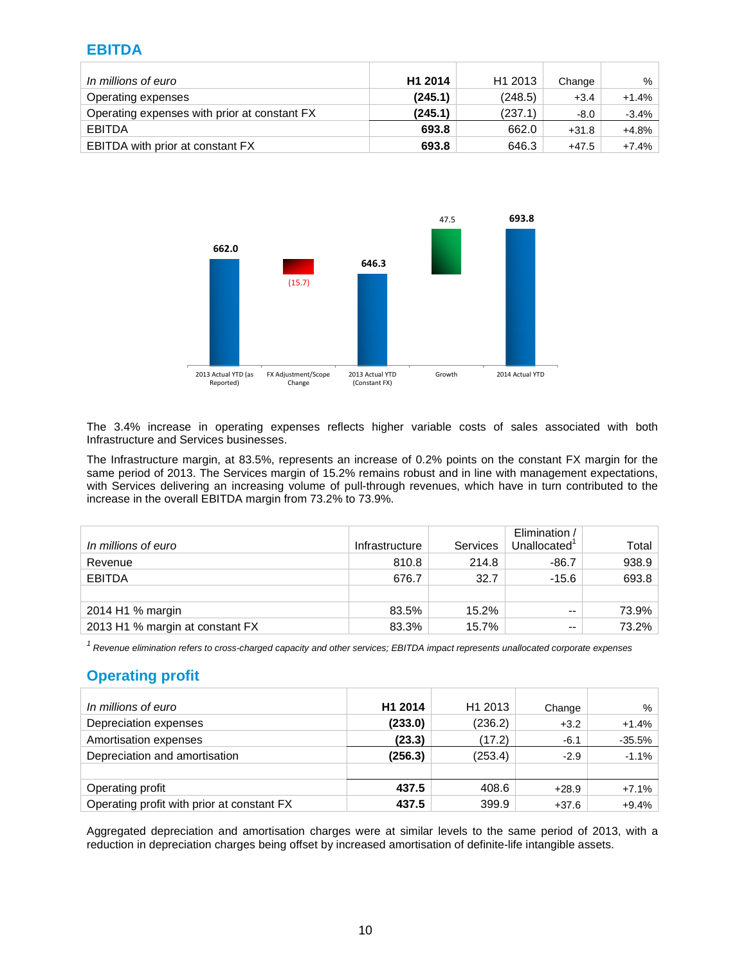### **EBITDA**

| In millions of euro                          | H1 2014 | H1 2013 | Change  | %       |
|----------------------------------------------|---------|---------|---------|---------|
| Operating expenses                           | (245.1) | (248.5) | $+3.4$  | $+1.4%$ |
| Operating expenses with prior at constant FX | (245.1) | (237.1) | $-8.0$  | $-3.4%$ |
| <b>EBITDA</b>                                | 693.8   | 662.0   | $+31.8$ | $+4.8%$ |
| EBITDA with prior at constant FX             | 693.8   | 646.3   | $+47.5$ | $+7.4%$ |



The 3.4% increase in operating expenses reflects higher variable costs of sales associated with both Infrastructure and Services businesses.

The Infrastructure margin, at 83.5%, represents an increase of 0.2% points on the constant FX margin for the same period of 2013. The Services margin of 15.2% remains robust and in line with management expectations, with Services delivering an increasing volume of pull-through revenues, which have in turn contributed to the increase in the overall EBITDA margin from 73.2% to 73.9%.

| In millions of euro             | Infrastructure | Services | Elimination /<br>Unallocated | Total |
|---------------------------------|----------------|----------|------------------------------|-------|
| Revenue                         | 810.8          | 214.8    | $-86.7$                      | 938.9 |
| <b>EBITDA</b>                   | 676.7          | 32.7     | $-15.6$                      | 693.8 |
|                                 |                |          |                              |       |
| 2014 H1 % margin                | 83.5%          | 15.2%    | $- -$                        | 73.9% |
| 2013 H1 % margin at constant FX | 83.3%          | 15.7%    | $- -$                        | 73.2% |

 $1$  Revenue elimination refers to cross-charged capacity and other services; EBITDA impact represents unallocated corporate expenses

### **Operating profit**

| In millions of euro                        | H1 2014 | H1 2013 | Change  | %        |
|--------------------------------------------|---------|---------|---------|----------|
| Depreciation expenses                      | (233.0) | (236.2) | $+3.2$  | $+1.4%$  |
| Amortisation expenses                      | (23.3)  | (17.2)  | $-6.1$  | $-35.5%$ |
| Depreciation and amortisation              | (256.3) | (253.4) | $-2.9$  | $-1.1%$  |
|                                            |         |         |         |          |
| Operating profit                           | 437.5   | 408.6   | $+28.9$ | $+7.1%$  |
| Operating profit with prior at constant FX | 437.5   | 399.9   | $+37.6$ | $+9.4%$  |

Aggregated depreciation and amortisation charges were at similar levels to the same period of 2013, with a reduction in depreciation charges being offset by increased amortisation of definite-life intangible assets.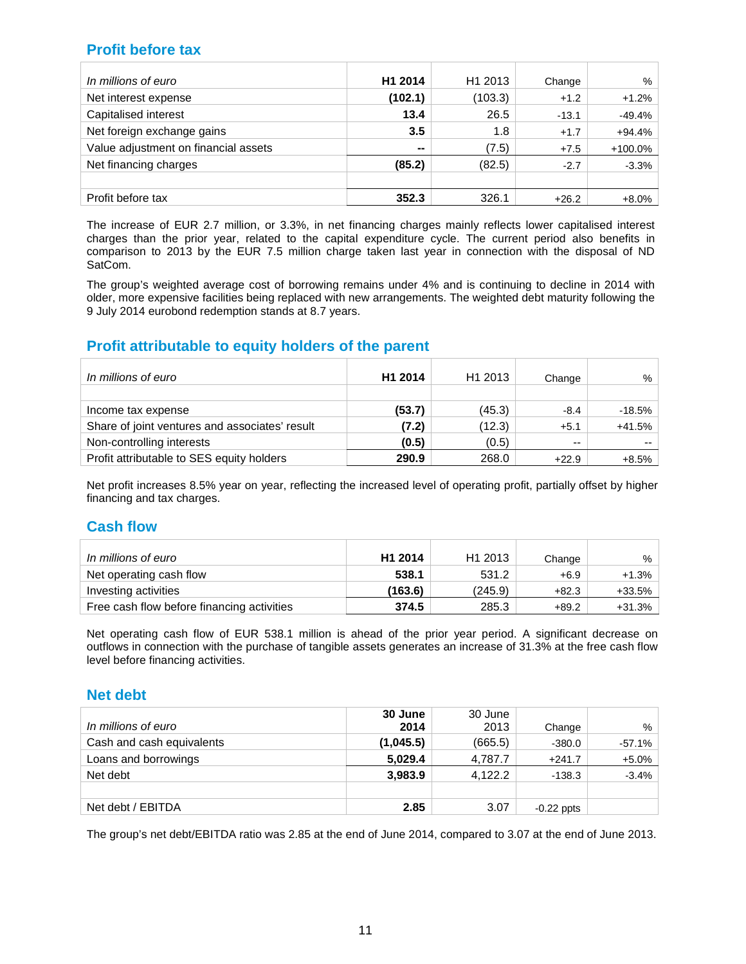### **Profit before tax**

| In millions of euro                  | H1 2014 | H <sub>1</sub> 2013 | Change  | %        |
|--------------------------------------|---------|---------------------|---------|----------|
| Net interest expense                 | (102.1) | (103.3)             | $+1.2$  | $+1.2%$  |
| <b>Capitalised interest</b>          | 13.4    | 26.5                | $-13.1$ | $-49.4%$ |
| Net foreign exchange gains           | 3.5     | 1.8                 | $+1.7$  | $+94.4%$ |
| Value adjustment on financial assets | $-$     | (7.5)               | $+7.5$  | +100.0%  |
| Net financing charges                | (85.2)  | (82.5)              | $-2.7$  | $-3.3%$  |
|                                      |         |                     |         |          |
| Profit before tax                    | 352.3   | 326.1               | $+26.2$ | $+8.0%$  |

The increase of EUR 2.7 million, or 3.3%, in net financing charges mainly reflects lower capitalised interest charges than the prior year, related to the capital expenditure cycle. The current period also benefits in comparison to 2013 by the EUR 7.5 million charge taken last year in connection with the disposal of ND SatCom.

The group's weighted average cost of borrowing remains under 4% and is continuing to decline in 2014 with older, more expensive facilities being replaced with new arrangements. The weighted debt maturity following the 9 July 2014 eurobond redemption stands at 8.7 years.

### **Profit attributable to equity holders of the parent**

| In millions of euro                            | H1 2014 | H1 2013 | Change  | %        |
|------------------------------------------------|---------|---------|---------|----------|
| Income tax expense                             | (53.7)  | (45.3)  | $-8.4$  | $-18.5%$ |
| Share of joint ventures and associates' result | (7.2)   | (12.3)  | $+5.1$  | $+41.5%$ |
| Non-controlling interests                      | (0.5)   | (0.5)   | $- -$   | $- -$    |
| Profit attributable to SES equity holders      | 290.9   | 268.0   | $+22.9$ | $+8.5%$  |

Net profit increases 8.5% year on year, reflecting the increased level of operating profit, partially offset by higher financing and tax charges.

### **Cash flow**

| In millions of euro                        | H <sub>1</sub> 2014 | H <sub>1</sub> 2013 | Change  | $\%$     |
|--------------------------------------------|---------------------|---------------------|---------|----------|
| Net operating cash flow                    | 538.1               | 531.2               | $+6.9$  | $+1.3%$  |
| Investing activities                       | (163.6)             | (245.9)             | $+82.3$ | +33.5%   |
| Free cash flow before financing activities | 374.5               | 285.3               | $+89.2$ | $+31.3%$ |

Net operating cash flow of EUR 538.1 million is ahead of the prior year period. A significant decrease on outflows in connection with the purchase of tangible assets generates an increase of 31.3% at the free cash flow level before financing activities.

### **Net debt**

|                           | 30 June   | 30 June |              |          |
|---------------------------|-----------|---------|--------------|----------|
| In millions of euro       | 2014      | 2013    | Change       | %        |
| Cash and cash equivalents | (1,045.5) | (665.5) | $-380.0$     | $-57.1%$ |
| Loans and borrowings      | 5,029.4   | 4,787.7 | $+241.7$     | $+5.0%$  |
| Net debt                  | 3,983.9   | 4,122.2 | $-138.3$     | $-3.4%$  |
|                           |           |         |              |          |
| Net debt / EBITDA         | 2.85      | 3.07    | $-0.22$ ppts |          |

The group's net debt/EBITDA ratio was 2.85 at the end of June 2014, compared to 3.07 at the end of June 2013.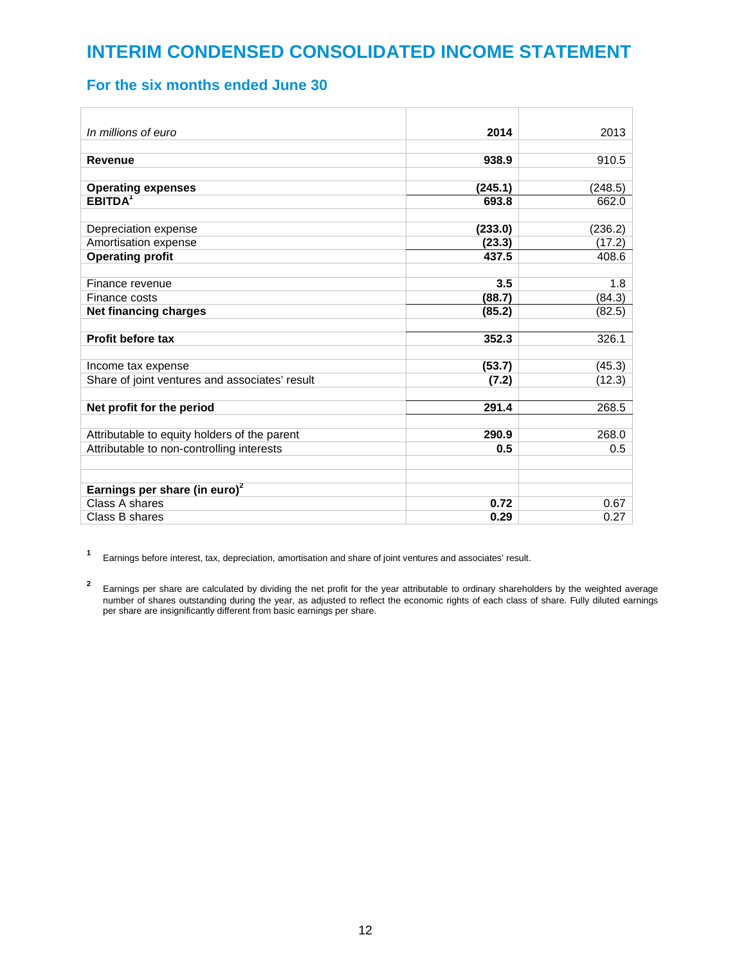## **INTERIM CONDENSED CONSOLIDATED INCOME STATEMENT**

### **For the six months ended June 30**

| In millions of euro                            | 2014    | 2013    |
|------------------------------------------------|---------|---------|
|                                                |         |         |
| <b>Revenue</b>                                 | 938.9   | 910.5   |
|                                                |         |         |
| <b>Operating expenses</b>                      | (245.1) | (248.5) |
| EBITDA <sup>1</sup>                            | 693.8   | 662.0   |
|                                                |         |         |
| Depreciation expense                           | (233.0) | (236.2) |
| Amortisation expense                           | (23.3)  | (17.2)  |
| <b>Operating profit</b>                        | 437.5   | 408.6   |
|                                                |         |         |
| Finance revenue                                | 3.5     | 1.8     |
| Finance costs                                  | (88.7)  | (84.3)  |
| <b>Net financing charges</b>                   | (85.2)  | (82.5)  |
|                                                |         |         |
| Profit before tax                              | 352.3   | 326.1   |
|                                                |         |         |
| Income tax expense                             | (53.7)  | (45.3)  |
| Share of joint ventures and associates' result | (7.2)   | (12.3)  |
|                                                |         |         |
| Net profit for the period                      | 291.4   | 268.5   |
|                                                |         |         |
| Attributable to equity holders of the parent   | 290.9   | 268.0   |
| Attributable to non-controlling interests      | 0.5     | 0.5     |
|                                                |         |         |
|                                                |         |         |
| Earnings per share (in euro) $2$               |         |         |
| Class A shares                                 | 0.72    | 0.67    |
| Class B shares                                 | 0.29    | 0.27    |

**<sup>1</sup>**Earnings before interest, tax, depreciation, amortisation and share of joint ventures and associates' result.

<sup>2</sup> Earnings per share are calculated by dividing the net profit for the year attributable to ordinary shareholders by the weighted average number of shares outstanding during the year, as adjusted to reflect the economic rights of each class of share. Fully diluted earnings per share are insignificantly different from basic earnings per share.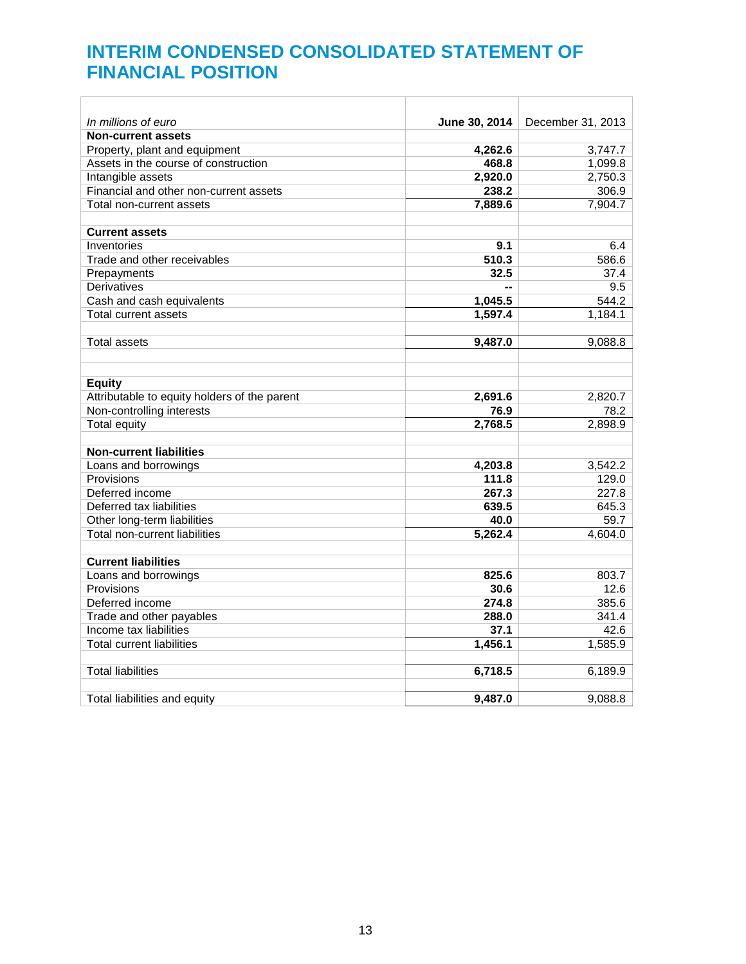## **INTERIM CONDENSED CONSOLIDATED STATEMENT OF FINANCIAL POSITION**

| In millions of euro                          | June 30, 2014 | December 31, 2013 |
|----------------------------------------------|---------------|-------------------|
| <b>Non-current assets</b>                    |               |                   |
| Property, plant and equipment                | 4,262.6       | 3,747.7           |
| Assets in the course of construction         | 468.8         | 1,099.8           |
| Intangible assets                            | 2,920.0       | 2,750.3           |
| Financial and other non-current assets       | 238.2         | 306.9             |
| Total non-current assets                     | 7,889.6       | 7,904.7           |
|                                              |               |                   |
| <b>Current assets</b>                        |               |                   |
| Inventories                                  | 9.1           | 6.4               |
| Trade and other receivables                  | 510.3         | 586.6             |
| Prepayments                                  | 32.5          | 37.4              |
| Derivatives                                  |               | 9.5               |
| Cash and cash equivalents                    | 1,045.5       | 544.2             |
| <b>Total current assets</b>                  | 1,597.4       | 1,184.1           |
|                                              |               |                   |
| <b>Total assets</b>                          | 9,487.0       | 9,088.8           |
|                                              |               |                   |
|                                              |               |                   |
| <b>Equity</b>                                |               |                   |
| Attributable to equity holders of the parent | 2,691.6       | 2,820.7           |
| Non-controlling interests                    | 76.9          | 78.2              |
| <b>Total equity</b>                          | 2,768.5       | 2,898.9           |
| <b>Non-current liabilities</b>               |               |                   |
|                                              |               |                   |
| Loans and borrowings                         | 4,203.8       | 3,542.2           |
| Provisions                                   | 111.8         | 129.0             |
| Deferred income                              | 267.3         | 227.8             |
| Deferred tax liabilities                     | 639.5         | 645.3             |
| Other long-term liabilities                  | 40.0          | 59.7              |
| Total non-current liabilities                | 5,262.4       | 4,604.0           |
| <b>Current liabilities</b>                   |               |                   |
| Loans and borrowings                         | 825.6         | 803.7             |
| Provisions                                   | 30.6          | 12.6              |
| Deferred income                              | 274.8         | 385.6             |
| Trade and other payables                     | 288.0         | 341.4             |
| Income tax liabilities                       | 37.1          | 42.6              |
| <b>Total current liabilities</b>             | 1,456.1       | 1,585.9           |
|                                              |               |                   |
| <b>Total liabilities</b>                     | 6,718.5       | 6,189.9           |
|                                              |               |                   |
| Total liabilities and equity                 | 9,487.0       | 9,088.8           |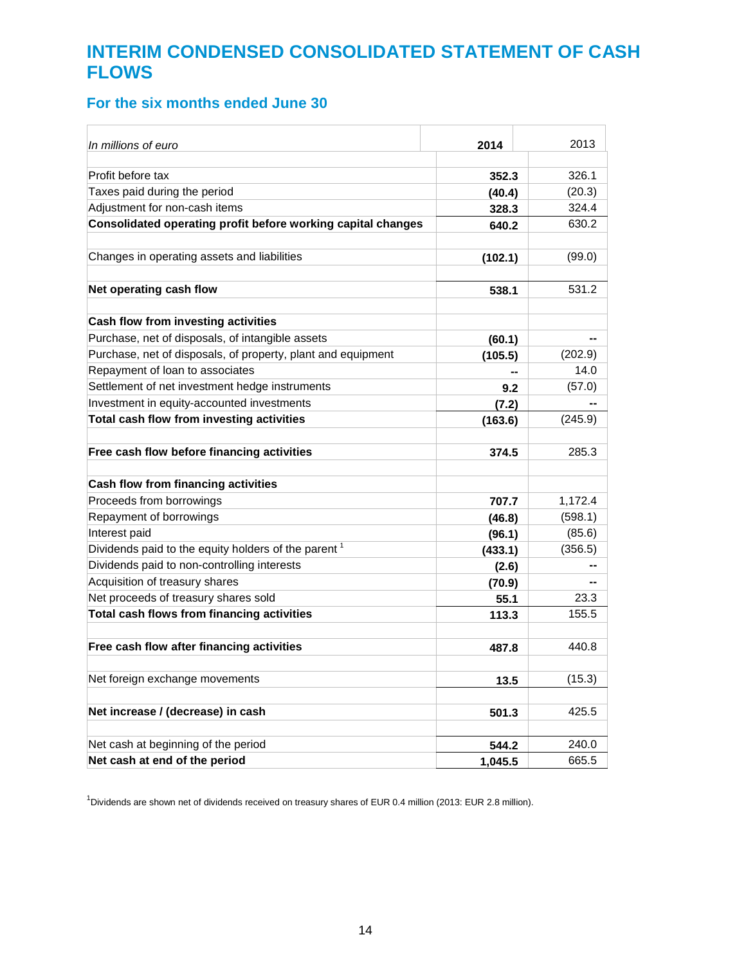## **INTERIM CONDENSED CONSOLIDATED STATEMENT OF CASH FLOWS**

## **For the six months ended June 30**

| In millions of euro                                             | 2014    | 2013    |
|-----------------------------------------------------------------|---------|---------|
|                                                                 |         |         |
| Profit before tax                                               | 352.3   | 326.1   |
| Taxes paid during the period                                    | (40.4)  | (20.3)  |
| Adjustment for non-cash items                                   | 328.3   | 324.4   |
| Consolidated operating profit before working capital changes    | 640.2   | 630.2   |
| Changes in operating assets and liabilities                     | (102.1) | (99.0)  |
| Net operating cash flow                                         | 538.1   | 531.2   |
| Cash flow from investing activities                             |         |         |
| Purchase, net of disposals, of intangible assets                | (60.1)  |         |
| Purchase, net of disposals, of property, plant and equipment    | (105.5) | (202.9) |
| Repayment of loan to associates                                 |         | 14.0    |
| Settlement of net investment hedge instruments                  | 9.2     | (57.0)  |
| Investment in equity-accounted investments                      | (7.2)   |         |
| Total cash flow from investing activities                       | (163.6) | (245.9) |
|                                                                 |         |         |
| Free cash flow before financing activities                      | 374.5   | 285.3   |
| Cash flow from financing activities                             |         |         |
| Proceeds from borrowings                                        | 707.7   | 1,172.4 |
| Repayment of borrowings                                         | (46.8)  | (598.1) |
| Interest paid                                                   | (96.1)  | (85.6)  |
| Dividends paid to the equity holders of the parent <sup>1</sup> | (433.1) | (356.5) |
| Dividends paid to non-controlling interests                     | (2.6)   |         |
| Acquisition of treasury shares                                  | (70.9)  |         |
| Net proceeds of treasury shares sold                            | 55.1    | 23.3    |
| Total cash flows from financing activities                      | 113.3   | 155.5   |
| Free cash flow after financing activities                       | 487.8   | 440.8   |
| Net foreign exchange movements                                  | 13.5    | (15.3)  |
| Net increase / (decrease) in cash                               | 501.3   | 425.5   |
| Net cash at beginning of the period                             |         | 240.0   |
| Net cash at end of the period                                   | 544.2   | 665.5   |
|                                                                 | 1,045.5 |         |

<sup>1</sup>Dividends are shown net of dividends received on treasury shares of EUR 0.4 million (2013: EUR 2.8 million).